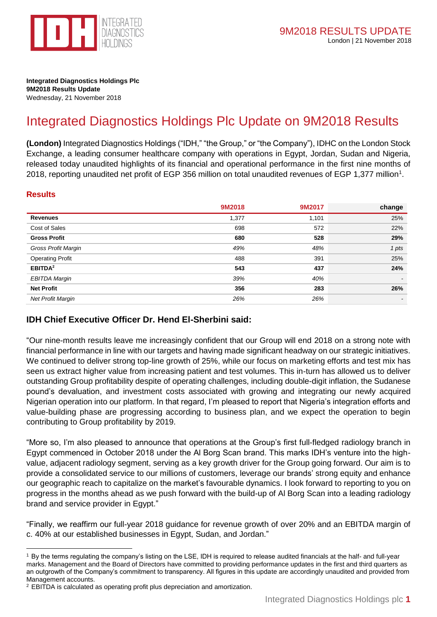

**Integrated Diagnostics Holdings Plc 9M2018 Results Update** Wednesday, 21 November 2018

# Integrated Diagnostics Holdings Plc Update on 9M2018 Results

**(London)** Integrated Diagnostics Holdings ("IDH," "the Group," or "the Company"), IDHC on the London Stock Exchange, a leading consumer healthcare company with operations in Egypt, Jordan, Sudan and Nigeria, released today unaudited highlights of its financial and operational performance in the first nine months of 2018, reporting unaudited net profit of EGP 356 million on total unaudited revenues of EGP 1,377 million<sup>1</sup>.

#### **Results**

|                            | 9M2018 | 9M2017 | change |
|----------------------------|--------|--------|--------|
| <b>Revenues</b>            | 1,377  | 1,101  | 25%    |
| Cost of Sales              | 698    | 572    | 22%    |
| <b>Gross Profit</b>        | 680    | 528    | 29%    |
| <b>Gross Profit Margin</b> | 49%    | 48%    | 1 pts  |
| <b>Operating Profit</b>    | 488    | 391    | 25%    |
| EBITDA <sup>2</sup>        | 543    | 437    | 24%    |
| <b>EBITDA Margin</b>       | 39%    | 40%    |        |
| <b>Net Profit</b>          | 356    | 283    | 26%    |
| <b>Net Profit Margin</b>   | 26%    | 26%    |        |

#### **IDH Chief Executive Officer Dr. Hend El-Sherbini said:**

"Our nine-month results leave me increasingly confident that our Group will end 2018 on a strong note with financial performance in line with our targets and having made significant headway on our strategic initiatives. We continued to deliver strong top-line growth of 25%, while our focus on marketing efforts and test mix has seen us extract higher value from increasing patient and test volumes. This in-turn has allowed us to deliver outstanding Group profitability despite of operating challenges, including double-digit inflation, the Sudanese pound's devaluation, and investment costs associated with growing and integrating our newly acquired Nigerian operation into our platform. In that regard, I'm pleased to report that Nigeria's integration efforts and value-building phase are progressing according to business plan, and we expect the operation to begin contributing to Group profitability by 2019.

"More so, I'm also pleased to announce that operations at the Group's first full-fledged radiology branch in Egypt commenced in October 2018 under the Al Borg Scan brand. This marks IDH's venture into the highvalue, adjacent radiology segment, serving as a key growth driver for the Group going forward. Our aim is to provide a consolidated service to our millions of customers, leverage our brands' strong equity and enhance our geographic reach to capitalize on the market's favourable dynamics. I look forward to reporting to you on progress in the months ahead as we push forward with the build-up of Al Borg Scan into a leading radiology brand and service provider in Egypt."

"Finally, we reaffirm our full-year 2018 guidance for revenue growth of over 20% and an EBITDA margin of c. 40% at our established businesses in Egypt, Sudan, and Jordan."

<sup>1</sup> <sup>1</sup> By the terms regulating the company's listing on the LSE, IDH is required to release audited financials at the half- and full-year marks. Management and the Board of Directors have committed to providing performance updates in the first and third quarters as an outgrowth of the Company's commitment to transparency. All figures in this update are accordingly unaudited and provided from Management accounts.

<sup>2</sup> EBITDA is calculated as operating profit plus depreciation and amortization.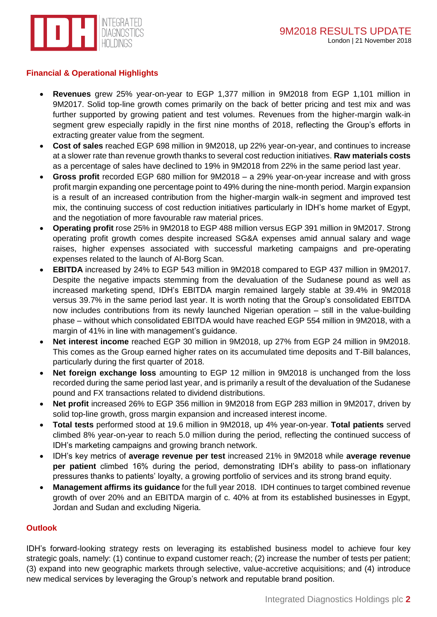

#### **Financial & Operational Highlights**

- **Revenues** grew 25% year-on-year to EGP 1,377 million in 9M2018 from EGP 1,101 million in 9M2017. Solid top-line growth comes primarily on the back of better pricing and test mix and was further supported by growing patient and test volumes. Revenues from the higher-margin walk-in segment grew especially rapidly in the first nine months of 2018, reflecting the Group's efforts in extracting greater value from the segment.
- **Cost of sales** reached EGP 698 million in 9M2018, up 22% year-on-year, and continues to increase at a slower rate than revenue growth thanks to several cost reduction initiatives. **Raw materials costs** as a percentage of sales have declined to 19% in 9M2018 from 22% in the same period last year.
- **Gross profit** recorded EGP 680 million for 9M2018 a 29% year-on-year increase and with gross profit margin expanding one percentage point to 49% during the nine-month period. Margin expansion is a result of an increased contribution from the higher-margin walk-in segment and improved test mix, the continuing success of cost reduction initiatives particularly in IDH's home market of Egypt, and the negotiation of more favourable raw material prices.
- **Operating profit** rose 25% in 9M2018 to EGP 488 million versus EGP 391 million in 9M2017. Strong operating profit growth comes despite increased SG&A expenses amid annual salary and wage raises, higher expenses associated with successful marketing campaigns and pre-operating expenses related to the launch of Al-Borg Scan.
- **EBITDA** increased by 24% to EGP 543 million in 9M2018 compared to EGP 437 million in 9M2017. Despite the negative impacts stemming from the devaluation of the Sudanese pound as well as increased marketing spend, IDH's EBITDA margin remained largely stable at 39.4% in 9M2018 versus 39.7% in the same period last year. It is worth noting that the Group's consolidated EBITDA now includes contributions from its newly launched Nigerian operation – still in the value-building phase – without which consolidated EBITDA would have reached EGP 554 million in 9M2018, with a margin of 41% in line with management's guidance.
- **Net interest income** reached EGP 30 million in 9M2018, up 27% from EGP 24 million in 9M2018. This comes as the Group earned higher rates on its accumulated time deposits and T-Bill balances, particularly during the first quarter of 2018.
- **Net foreign exchange loss** amounting to EGP 12 million in 9M2018 is unchanged from the loss recorded during the same period last year, and is primarily a result of the devaluation of the Sudanese pound and FX transactions related to dividend distributions.
- **Net profit** increased 26% to EGP 356 million in 9M2018 from EGP 283 million in 9M2017, driven by solid top-line growth, gross margin expansion and increased interest income.
- **Total tests** performed stood at 19.6 million in 9M2018, up 4% year-on-year. **Total patients** served climbed 8% year-on-year to reach 5.0 million during the period, reflecting the continued success of IDH's marketing campaigns and growing branch network.
- IDH's key metrics of **average revenue per test** increased 21% in 9M2018 while **average revenue per patient** climbed 16% during the period, demonstrating IDH's ability to pass-on inflationary pressures thanks to patients' loyalty, a growing portfolio of services and its strong brand equity.
- **Management affirms its guidance** for the full year 2018. IDH continues to target combined revenue growth of over 20% and an EBITDA margin of c. 40% at from its established businesses in Egypt, Jordan and Sudan and excluding Nigeria.

#### **Outlook**

IDH's forward-looking strategy rests on leveraging its established business model to achieve four key strategic goals, namely: (1) continue to expand customer reach; (2) increase the number of tests per patient; (3) expand into new geographic markets through selective, value-accretive acquisitions; and (4) introduce new medical services by leveraging the Group's network and reputable brand position.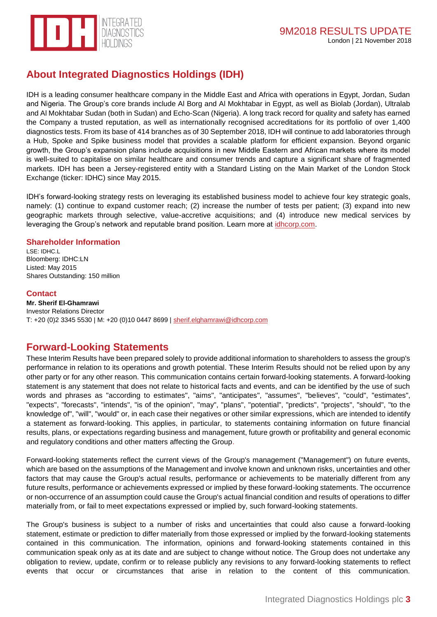

## **About Integrated Diagnostics Holdings (IDH)**

IDH is a leading consumer healthcare company in the Middle East and Africa with operations in Egypt, Jordan, Sudan and Nigeria. The Group's core brands include Al Borg and Al Mokhtabar in Egypt, as well as Biolab (Jordan), Ultralab and Al Mokhtabar Sudan (both in Sudan) and Echo-Scan (Nigeria). A long track record for quality and safety has earned the Company a trusted reputation, as well as internationally recognised accreditations for its portfolio of over 1,400 diagnostics tests. From its base of 414 branches as of 30 September 2018, IDH will continue to add laboratories through a Hub, Spoke and Spike business model that provides a scalable platform for efficient expansion. Beyond organic growth, the Group's expansion plans include acquisitions in new Middle Eastern and African markets where its model is well-suited to capitalise on similar healthcare and consumer trends and capture a significant share of fragmented markets. IDH has been a Jersey-registered entity with a Standard Listing on the Main Market of the London Stock Exchange (ticker: IDHC) since May 2015.

IDH's forward-looking strategy rests on leveraging its established business model to achieve four key strategic goals, namely: (1) continue to expand customer reach; (2) increase the number of tests per patient; (3) expand into new geographic markets through selective, value-accretive acquisitions; and (4) introduce new medical services by leveraging the Group's network and reputable brand position. Learn more at [idhcorp.com.](http://idhcorp.com/)

#### **Shareholder Information**

LSE: IDHC.L Bloomberg: IDHC:LN Listed: May 2015 Shares Outstanding: 150 million

#### **Contact**

**Mr. Sherif El-Ghamrawi** Investor Relations Director T: +20 (0)2 3345 5530 | M: +20 (0)10 0447 8699 | [sherif.elghamrawi@idhcorp.com](mailto:sherif.elghamrawi@idhcorp.com)

## **Forward-Looking Statements**

These Interim Results have been prepared solely to provide additional information to shareholders to assess the group's performance in relation to its operations and growth potential. These Interim Results should not be relied upon by any other party or for any other reason. This communication contains certain forward-looking statements. A forward-looking statement is any statement that does not relate to historical facts and events, and can be identified by the use of such words and phrases as "according to estimates", "aims", "anticipates", "assumes", "believes", "could", "estimates", "expects", "forecasts", "intends", "is of the opinion", "may", "plans", "potential", "predicts", "projects", "should", "to the knowledge of", "will", "would" or, in each case their negatives or other similar expressions, which are intended to identify a statement as forward-looking. This applies, in particular, to statements containing information on future financial results, plans, or expectations regarding business and management, future growth or profitability and general economic and regulatory conditions and other matters affecting the Group.

Forward-looking statements reflect the current views of the Group's management ("Management") on future events, which are based on the assumptions of the Management and involve known and unknown risks, uncertainties and other factors that may cause the Group's actual results, performance or achievements to be materially different from any future results, performance or achievements expressed or implied by these forward-looking statements. The occurrence or non-occurrence of an assumption could cause the Group's actual financial condition and results of operations to differ materially from, or fail to meet expectations expressed or implied by, such forward-looking statements.

The Group's business is subject to a number of risks and uncertainties that could also cause a forward-looking statement, estimate or prediction to differ materially from those expressed or implied by the forward-looking statements contained in this communication. The information, opinions and forward-looking statements contained in this communication speak only as at its date and are subject to change without notice. The Group does not undertake any obligation to review, update, confirm or to release publicly any revisions to any forward-looking statements to reflect events that occur or circumstances that arise in relation to the content of this communication.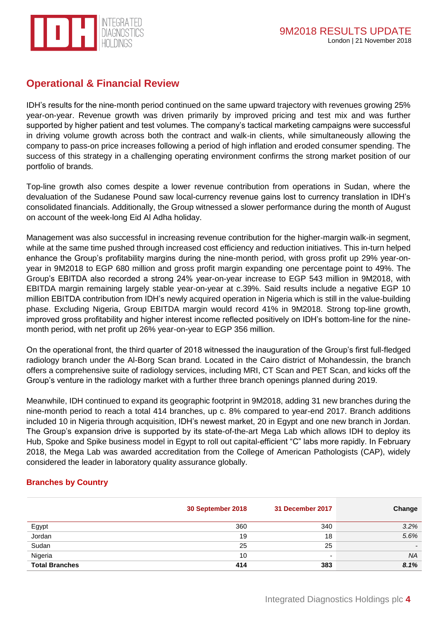

## **Operational & Financial Review**

IDH's results for the nine-month period continued on the same upward trajectory with revenues growing 25% year-on-year. Revenue growth was driven primarily by improved pricing and test mix and was further supported by higher patient and test volumes. The company's tactical marketing campaigns were successful in driving volume growth across both the contract and walk-in clients, while simultaneously allowing the company to pass-on price increases following a period of high inflation and eroded consumer spending. The success of this strategy in a challenging operating environment confirms the strong market position of our portfolio of brands.

Top-line growth also comes despite a lower revenue contribution from operations in Sudan, where the devaluation of the Sudanese Pound saw local-currency revenue gains lost to currency translation in IDH's consolidated financials. Additionally, the Group witnessed a slower performance during the month of August on account of the week-long Eid Al Adha holiday.

Management was also successful in increasing revenue contribution for the higher-margin walk-in segment, while at the same time pushed through increased cost efficiency and reduction initiatives. This in-turn helped enhance the Group's profitability margins during the nine-month period, with gross profit up 29% year-onyear in 9M2018 to EGP 680 million and gross profit margin expanding one percentage point to 49%. The Group's EBITDA also recorded a strong 24% year-on-year increase to EGP 543 million in 9M2018, with EBITDA margin remaining largely stable year-on-year at c.39%. Said results include a negative EGP 10 million EBITDA contribution from IDH's newly acquired operation in Nigeria which is still in the value-building phase. Excluding Nigeria, Group EBITDA margin would record 41% in 9M2018. Strong top-line growth, improved gross profitability and higher interest income reflected positively on IDH's bottom-line for the ninemonth period, with net profit up 26% year-on-year to EGP 356 million.

On the operational front, the third quarter of 2018 witnessed the inauguration of the Group's first full-fledged radiology branch under the Al-Borg Scan brand. Located in the Cairo district of Mohandessin, the branch offers a comprehensive suite of radiology services, including MRI, CT Scan and PET Scan, and kicks off the Group's venture in the radiology market with a further three branch openings planned during 2019.

Meanwhile, IDH continued to expand its geographic footprint in 9M2018, adding 31 new branches during the nine-month period to reach a total 414 branches, up c. 8% compared to year-end 2017. Branch additions included 10 in Nigeria through acquisition, IDH's newest market, 20 in Egypt and one new branch in Jordan. The Group's expansion drive is supported by its state-of-the-art Mega Lab which allows IDH to deploy its Hub, Spoke and Spike business model in Egypt to roll out capital-efficient "C" labs more rapidly. In February 2018, the Mega Lab was awarded accreditation from the College of American Pathologists (CAP), widely considered the leader in laboratory quality assurance globally.

#### **Branches by Country**

|                       | 30 September 2018 | 31 December 2017         | Change    |
|-----------------------|-------------------|--------------------------|-----------|
| Egypt                 | 360               | 340                      | 3.2%      |
| Jordan                | 19                | 18                       | 5.6%      |
| Sudan                 | 25                | 25                       |           |
| Nigeria               | 10                | $\overline{\phantom{a}}$ | <b>NA</b> |
| <b>Total Branches</b> | 414               | 383                      | 8.1%      |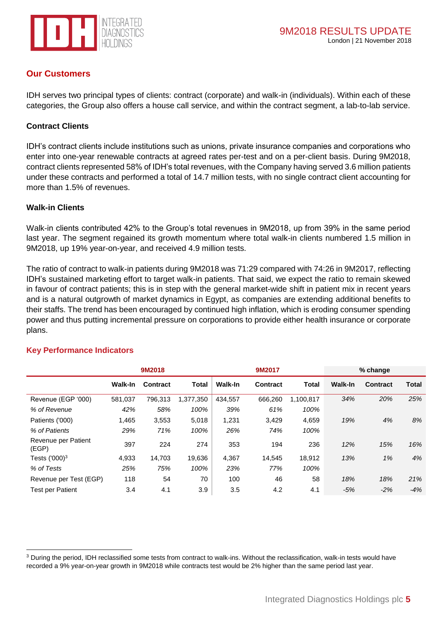

## **Our Customers**

IDH serves two principal types of clients: contract (corporate) and walk-in (individuals). Within each of these categories, the Group also offers a house call service, and within the contract segment, a lab-to-lab service.

#### **Contract Clients**

IDH's contract clients include institutions such as unions, private insurance companies and corporations who enter into one-year renewable contracts at agreed rates per-test and on a per-client basis. During 9M2018, contract clients represented 58% of IDH's total revenues, with the Company having served 3.6 million patients under these contracts and performed a total of 14.7 million tests, with no single contract client accounting for more than 1.5% of revenues.

#### **Walk-in Clients**

Walk-in clients contributed 42% to the Group's total revenues in 9M2018, up from 39% in the same period last year. The segment regained its growth momentum where total walk-in clients numbered 1.5 million in 9M2018, up 19% year-on-year, and received 4.9 million tests.

The ratio of contract to walk-in patients during 9M2018 was 71:29 compared with 74:26 in 9M2017, reflecting IDH's sustained marketing effort to target walk-in patients. That said, we expect the ratio to remain skewed in favour of contract patients; this is in step with the general market-wide shift in patient mix in recent years and is a natural outgrowth of market dynamics in Egypt, as companies are extending additional benefits to their staffs. The trend has been encouraged by continued high inflation, which is eroding consumer spending power and thus putting incremental pressure on corporations to provide either health insurance or corporate plans.

|                              |                | 9M2018   |           |         | 9M2017   |              |                | % change        |       |
|------------------------------|----------------|----------|-----------|---------|----------|--------------|----------------|-----------------|-------|
|                              | <b>Walk-In</b> | Contract | Total     | Walk-In | Contract | <b>Total</b> | <b>Walk-In</b> | <b>Contract</b> | Total |
| Revenue (EGP '000)           | 581,037        | 796,313  | 1,377,350 | 434,557 | 666,260  | 1,100,817    | 34%            | 20%             | 25%   |
| % of Revenue                 | 42%            | 58%      | 100%      | 39%     | 61%      | 100%         |                |                 |       |
| Patients ('000)              | 1,465          | 3,553    | 5,018     | 1,231   | 3,429    | 4,659        | 19%            | 4%              | 8%    |
| % of Patients                | 29%            | 71%      | 100%      | 26%     | 74%      | 100%         |                |                 |       |
| Revenue per Patient<br>(EGP) | 397            | 224      | 274       | 353     | 194      | 236          | 12%            | 15%             | 16%   |
| Tests $(1000)^3$             | 4,933          | 14,703   | 19,636    | 4,367   | 14,545   | 18,912       | 13%            | 1%              | 4%    |
| % of Tests                   | 25%            | 75%      | 100%      | 23%     | 77%      | 100%         |                |                 |       |
| Revenue per Test (EGP)       | 118            | 54       | 70        | 100     | 46       | 58           | 18%            | 18%             | 21%   |
| <b>Test per Patient</b>      | 3.4            | 4.1      | 3.9       | 3.5     | 4.2      | 4.1          | $-5%$          | $-2%$           | $-4%$ |

#### **Key Performance Indicators**

1

<sup>&</sup>lt;sup>3</sup> During the period, IDH reclassified some tests from contract to walk-ins. Without the reclassification, walk-in tests would have recorded a 9% year-on-year growth in 9M2018 while contracts test would be 2% higher than the same period last year.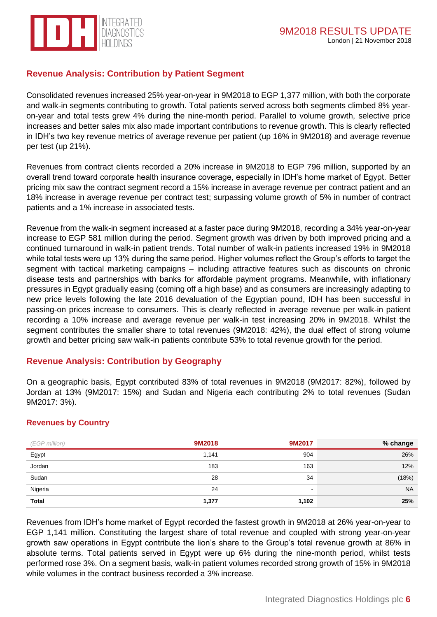

## **Revenue Analysis: Contribution by Patient Segment**

Consolidated revenues increased 25% year-on-year in 9M2018 to EGP 1,377 million, with both the corporate and walk-in segments contributing to growth. Total patients served across both segments climbed 8% yearon-year and total tests grew 4% during the nine-month period. Parallel to volume growth, selective price increases and better sales mix also made important contributions to revenue growth. This is clearly reflected in IDH's two key revenue metrics of average revenue per patient (up 16% in 9M2018) and average revenue per test (up 21%).

Revenues from contract clients recorded a 20% increase in 9M2018 to EGP 796 million, supported by an overall trend toward corporate health insurance coverage, especially in IDH's home market of Egypt. Better pricing mix saw the contract segment record a 15% increase in average revenue per contract patient and an 18% increase in average revenue per contract test; surpassing volume growth of 5% in number of contract patients and a 1% increase in associated tests.

Revenue from the walk-in segment increased at a faster pace during 9M2018, recording a 34% year-on-year increase to EGP 581 million during the period. Segment growth was driven by both improved pricing and a continued turnaround in walk-in patient trends. Total number of walk-in patients increased 19% in 9M2018 while total tests were up 13% during the same period. Higher volumes reflect the Group's efforts to target the segment with tactical marketing campaigns – including attractive features such as discounts on chronic disease tests and partnerships with banks for affordable payment programs. Meanwhile, with inflationary pressures in Egypt gradually easing (coming off a high base) and as consumers are increasingly adapting to new price levels following the late 2016 devaluation of the Egyptian pound, IDH has been successful in passing-on prices increase to consumers. This is clearly reflected in average revenue per walk-in patient recording a 10% increase and average revenue per walk-in test increasing 20% in 9M2018. Whilst the segment contributes the smaller share to total revenues (9M2018: 42%), the dual effect of strong volume growth and better pricing saw walk-in patients contribute 53% to total revenue growth for the period.

#### **Revenue Analysis: Contribution by Geography**

On a geographic basis, Egypt contributed 83% of total revenues in 9M2018 (9M2017: 82%), followed by Jordan at 13% (9M2017: 15%) and Sudan and Nigeria each contributing 2% to total revenues (Sudan 9M2017: 3%).

#### **Revenues by Country**

| (EGP million)                     | 9M2018 | 9M2017 | % change  |
|-----------------------------------|--------|--------|-----------|
| Egypt                             | 1,141  | 904    | 26%       |
| Jordan<br>and the control of the  | 183    | 163    | 12%       |
| Sudan<br><b>Contract Contract</b> | 28     | 34     | (18%)     |
| Nigeria                           | 24     | -      | <b>NA</b> |
| <b>Total</b>                      | 1,377  | 1,102  | 25%       |

Revenues from IDH's home market of Egypt recorded the fastest growth in 9M2018 at 26% year-on-year to EGP 1,141 million. Constituting the largest share of total revenue and coupled with strong year-on-year growth saw operations in Egypt contribute the lion's share to the Group's total revenue growth at 86% in absolute terms. Total patients served in Egypt were up 6% during the nine-month period, whilst tests performed rose 3%. On a segment basis, walk-in patient volumes recorded strong growth of 15% in 9M2018 while volumes in the contract business recorded a 3% increase.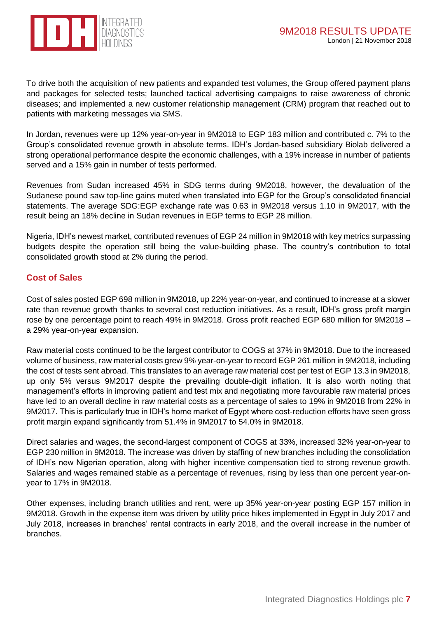



To drive both the acquisition of new patients and expanded test volumes, the Group offered payment plans and packages for selected tests; launched tactical advertising campaigns to raise awareness of chronic diseases; and implemented a new customer relationship management (CRM) program that reached out to patients with marketing messages via SMS.

In Jordan, revenues were up 12% year-on-year in 9M2018 to EGP 183 million and contributed c. 7% to the Group's consolidated revenue growth in absolute terms. IDH's Jordan-based subsidiary Biolab delivered a strong operational performance despite the economic challenges, with a 19% increase in number of patients served and a 15% gain in number of tests performed.

Revenues from Sudan increased 45% in SDG terms during 9M2018, however, the devaluation of the Sudanese pound saw top-line gains muted when translated into EGP for the Group's consolidated financial statements. The average SDG:EGP exchange rate was 0.63 in 9M2018 versus 1.10 in 9M2017, with the result being an 18% decline in Sudan revenues in EGP terms to EGP 28 million.

Nigeria, IDH's newest market, contributed revenues of EGP 24 million in 9M2018 with key metrics surpassing budgets despite the operation still being the value-building phase. The country's contribution to total consolidated growth stood at 2% during the period.

## **Cost of Sales**

Cost of sales posted EGP 698 million in 9M2018, up 22% year-on-year, and continued to increase at a slower rate than revenue growth thanks to several cost reduction initiatives. As a result, IDH's gross profit margin rose by one percentage point to reach 49% in 9M2018. Gross profit reached EGP 680 million for 9M2018 – a 29% year-on-year expansion.

Raw material costs continued to be the largest contributor to COGS at 37% in 9M2018. Due to the increased volume of business, raw material costs grew 9% year-on-year to record EGP 261 million in 9M2018, including the cost of tests sent abroad. This translates to an average raw material cost per test of EGP 13.3 in 9M2018, up only 5% versus 9M2017 despite the prevailing double-digit inflation. It is also worth noting that management's efforts in improving patient and test mix and negotiating more favourable raw material prices have led to an overall decline in raw material costs as a percentage of sales to 19% in 9M2018 from 22% in 9M2017. This is particularly true in IDH's home market of Egypt where cost-reduction efforts have seen gross profit margin expand significantly from 51.4% in 9M2017 to 54.0% in 9M2018.

Direct salaries and wages, the second-largest component of COGS at 33%, increased 32% year-on-year to EGP 230 million in 9M2018. The increase was driven by staffing of new branches including the consolidation of IDH's new Nigerian operation, along with higher incentive compensation tied to strong revenue growth. Salaries and wages remained stable as a percentage of revenues, rising by less than one percent year-onyear to 17% in 9M2018.

Other expenses, including branch utilities and rent, were up 35% year-on-year posting EGP 157 million in 9M2018. Growth in the expense item was driven by utility price hikes implemented in Egypt in July 2017 and July 2018, increases in branches' rental contracts in early 2018, and the overall increase in the number of branches.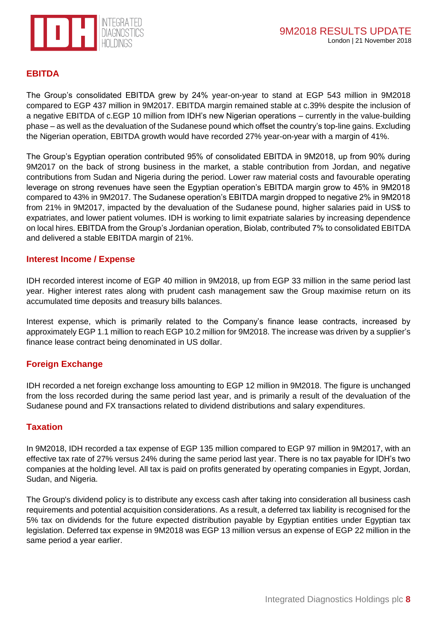

## **EBITDA**

The Group's consolidated EBITDA grew by 24% year-on-year to stand at EGP 543 million in 9M2018 compared to EGP 437 million in 9M2017. EBITDA margin remained stable at c.39% despite the inclusion of a negative EBITDA of c.EGP 10 million from IDH's new Nigerian operations – currently in the value-building phase – as well as the devaluation of the Sudanese pound which offset the country's top-line gains. Excluding the Nigerian operation, EBITDA growth would have recorded 27% year-on-year with a margin of 41%.

The Group's Egyptian operation contributed 95% of consolidated EBITDA in 9M2018, up from 90% during 9M2017 on the back of strong business in the market, a stable contribution from Jordan, and negative contributions from Sudan and Nigeria during the period. Lower raw material costs and favourable operating leverage on strong revenues have seen the Egyptian operation's EBITDA margin grow to 45% in 9M2018 compared to 43% in 9M2017. The Sudanese operation's EBITDA margin dropped to negative 2% in 9M2018 from 21% in 9M2017, impacted by the devaluation of the Sudanese pound, higher salaries paid in US\$ to expatriates, and lower patient volumes. IDH is working to limit expatriate salaries by increasing dependence on local hires. EBITDA from the Group's Jordanian operation, Biolab, contributed 7% to consolidated EBITDA and delivered a stable EBITDA margin of 21%.

#### **Interest Income / Expense**

IDH recorded interest income of EGP 40 million in 9M2018, up from EGP 33 million in the same period last year. Higher interest rates along with prudent cash management saw the Group maximise return on its accumulated time deposits and treasury bills balances.

Interest expense, which is primarily related to the Company's finance lease contracts, increased by approximately EGP 1.1 million to reach EGP 10.2 million for 9M2018. The increase was driven by a supplier's finance lease contract being denominated in US dollar.

#### **Foreign Exchange**

IDH recorded a net foreign exchange loss amounting to EGP 12 million in 9M2018. The figure is unchanged from the loss recorded during the same period last year, and is primarily a result of the devaluation of the Sudanese pound and FX transactions related to dividend distributions and salary expenditures.

#### **Taxation**

In 9M2018, IDH recorded a tax expense of EGP 135 million compared to EGP 97 million in 9M2017, with an effective tax rate of 27% versus 24% during the same period last year. There is no tax payable for IDH's two companies at the holding level. All tax is paid on profits generated by operating companies in Egypt, Jordan, Sudan, and Nigeria.

The Group's dividend policy is to distribute any excess cash after taking into consideration all business cash requirements and potential acquisition considerations. As a result, a deferred tax liability is recognised for the 5% tax on dividends for the future expected distribution payable by Egyptian entities under Egyptian tax legislation. Deferred tax expense in 9M2018 was EGP 13 million versus an expense of EGP 22 million in the same period a year earlier.